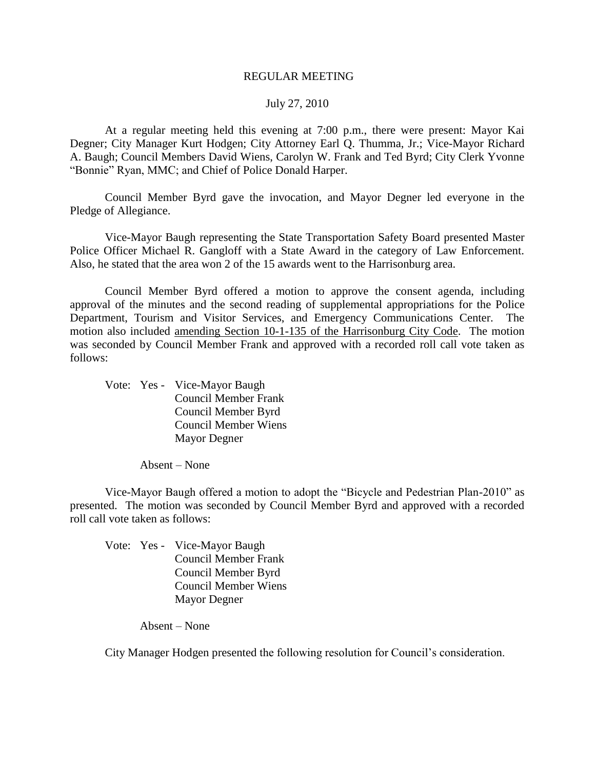#### REGULAR MEETING

#### July 27, 2010

At a regular meeting held this evening at 7:00 p.m., there were present: Mayor Kai Degner; City Manager Kurt Hodgen; City Attorney Earl Q. Thumma, Jr.; Vice-Mayor Richard A. Baugh; Council Members David Wiens, Carolyn W. Frank and Ted Byrd; City Clerk Yvonne "Bonnie" Ryan, MMC; and Chief of Police Donald Harper.

Council Member Byrd gave the invocation, and Mayor Degner led everyone in the Pledge of Allegiance.

Vice-Mayor Baugh representing the State Transportation Safety Board presented Master Police Officer Michael R. Gangloff with a State Award in the category of Law Enforcement. Also, he stated that the area won 2 of the 15 awards went to the Harrisonburg area.

Council Member Byrd offered a motion to approve the consent agenda, including approval of the minutes and the second reading of supplemental appropriations for the Police Department, Tourism and Visitor Services, and Emergency Communications Center. The motion also included amending Section 10-1-135 of the Harrisonburg City Code. The motion was seconded by Council Member Frank and approved with a recorded roll call vote taken as follows:

Vote: Yes - Vice-Mayor Baugh Council Member Frank Council Member Byrd Council Member Wiens Mayor Degner

Absent – None

Vice-Mayor Baugh offered a motion to adopt the "Bicycle and Pedestrian Plan-2010" as presented. The motion was seconded by Council Member Byrd and approved with a recorded roll call vote taken as follows:

Vote: Yes - Vice-Mayor Baugh Council Member Frank Council Member Byrd Council Member Wiens Mayor Degner

Absent – None

City Manager Hodgen presented the following resolution for Council's consideration.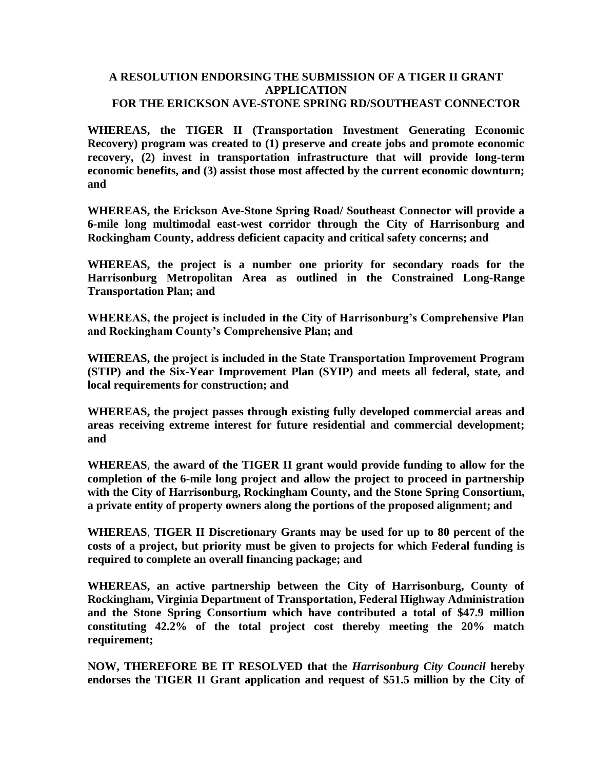#### **A RESOLUTION ENDORSING THE SUBMISSION OF A TIGER II GRANT APPLICATION FOR THE ERICKSON AVE-STONE SPRING RD/SOUTHEAST CONNECTOR**

**WHEREAS, the TIGER II (Transportation Investment Generating Economic Recovery) program was created to (1) preserve and create jobs and promote economic recovery, (2) invest in transportation infrastructure that will provide long-term economic benefits, and (3) assist those most affected by the current economic downturn; and**

**WHEREAS, the Erickson Ave-Stone Spring Road/ Southeast Connector will provide a 6-mile long multimodal east-west corridor through the City of Harrisonburg and Rockingham County, address deficient capacity and critical safety concerns; and**

**WHEREAS, the project is a number one priority for secondary roads for the Harrisonburg Metropolitan Area as outlined in the Constrained Long-Range Transportation Plan; and**

**WHEREAS, the project is included in the City of Harrisonburg's Comprehensive Plan and Rockingham County's Comprehensive Plan; and**

**WHEREAS, the project is included in the State Transportation Improvement Program (STIP) and the Six-Year Improvement Plan (SYIP) and meets all federal, state, and local requirements for construction; and**

**WHEREAS, the project passes through existing fully developed commercial areas and areas receiving extreme interest for future residential and commercial development; and**

**WHEREAS**, **the award of the TIGER II grant would provide funding to allow for the completion of the 6-mile long project and allow the project to proceed in partnership with the City of Harrisonburg, Rockingham County, and the Stone Spring Consortium, a private entity of property owners along the portions of the proposed alignment; and**

**WHEREAS**, **TIGER II Discretionary Grants may be used for up to 80 percent of the costs of a project, but priority must be given to projects for which Federal funding is required to complete an overall financing package; and**

**WHEREAS, an active partnership between the City of Harrisonburg, County of Rockingham, Virginia Department of Transportation, Federal Highway Administration and the Stone Spring Consortium which have contributed a total of \$47.9 million constituting 42.2% of the total project cost thereby meeting the 20% match requirement;** 

**NOW, THEREFORE BE IT RESOLVED that the** *Harrisonburg City Council* **hereby endorses the TIGER II Grant application and request of \$51.5 million by the City of**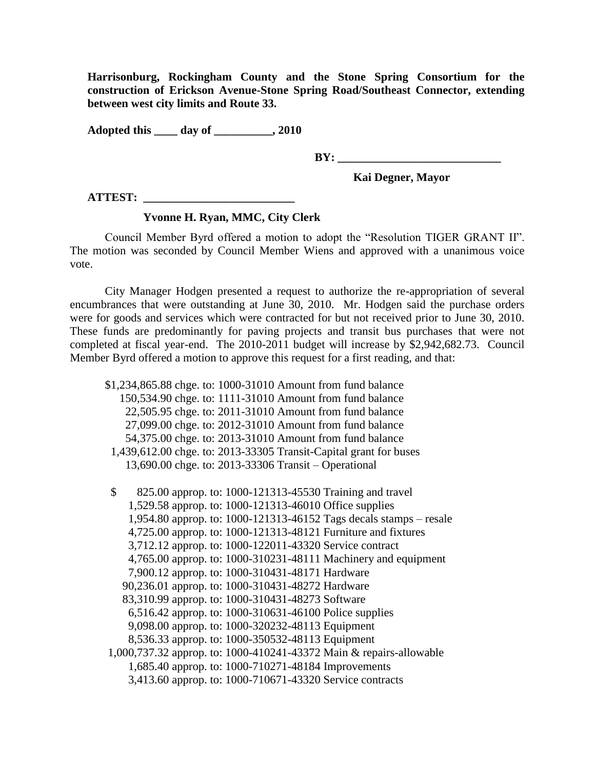**Harrisonburg, Rockingham County and the Stone Spring Consortium for the construction of Erickson Avenue-Stone Spring Road/Southeast Connector, extending between west city limits and Route 33.** 

**Adopted this \_\_\_\_ day of \_\_\_\_\_\_\_\_\_\_, 2010**

**BY: \_\_\_\_\_\_\_\_\_\_\_\_\_\_\_\_\_\_\_\_\_\_\_\_\_\_\_\_**

 **Kai Degner, Mayor**

**ATTEST: \_\_\_\_\_\_\_\_\_\_\_\_\_\_\_\_\_\_\_\_\_\_\_\_\_\_**

# **Yvonne H. Ryan, MMC, City Clerk**

Council Member Byrd offered a motion to adopt the "Resolution TIGER GRANT II". The motion was seconded by Council Member Wiens and approved with a unanimous voice vote.

City Manager Hodgen presented a request to authorize the re-appropriation of several encumbrances that were outstanding at June 30, 2010. Mr. Hodgen said the purchase orders were for goods and services which were contracted for but not received prior to June 30, 2010. These funds are predominantly for paving projects and transit bus purchases that were not completed at fiscal year-end. The 2010-2011 budget will increase by \$2,942,682.73. Council Member Byrd offered a motion to approve this request for a first reading, and that:

|    | \$1,234,865.88 chge. to: 1000-31010 Amount from fund balance       |
|----|--------------------------------------------------------------------|
|    | 150,534.90 chge. to: 1111-31010 Amount from fund balance           |
|    | 22,505.95 chge. to: 2011-31010 Amount from fund balance            |
|    | 27,099.00 chge. to: 2012-31010 Amount from fund balance            |
|    | 54,375.00 chge. to: 2013-31010 Amount from fund balance            |
|    | 1,439,612.00 chge. to: 2013-33305 Transit-Capital grant for buses  |
|    | 13,690.00 chge. to: 2013-33306 Transit – Operational               |
| \$ | 825.00 approp. to: 1000-121313-45530 Training and travel           |
|    | 1,529.58 approp. to: 1000-121313-46010 Office supplies             |
|    | 1,954.80 approp. to: 1000-121313-46152 Tags decals stamps – resale |
|    | 4,725.00 approp. to: 1000-121313-48121 Furniture and fixtures      |
|    | 3,712.12 approp. to: 1000-122011-43320 Service contract            |

- 4,765.00 approp. to: 1000-310231-48111 Machinery and equipment
- 7,900.12 approp. to: 1000-310431-48171 Hardware
- 90,236.01 approp. to: 1000-310431-48272 Hardware
- 83,310.99 approp. to: 1000-310431-48273 Software
- 6,516.42 approp. to: 1000-310631-46100 Police supplies
- 9,098.00 approp. to: 1000-320232-48113 Equipment
- 8,536.33 approp. to: 1000-350532-48113 Equipment
- 1,000,737.32 approp. to: 1000-410241-43372 Main & repairs-allowable 1,685.40 approp. to: 1000-710271-48184 Improvements
	- 3,413.60 approp. to: 1000-710671-43320 Service contracts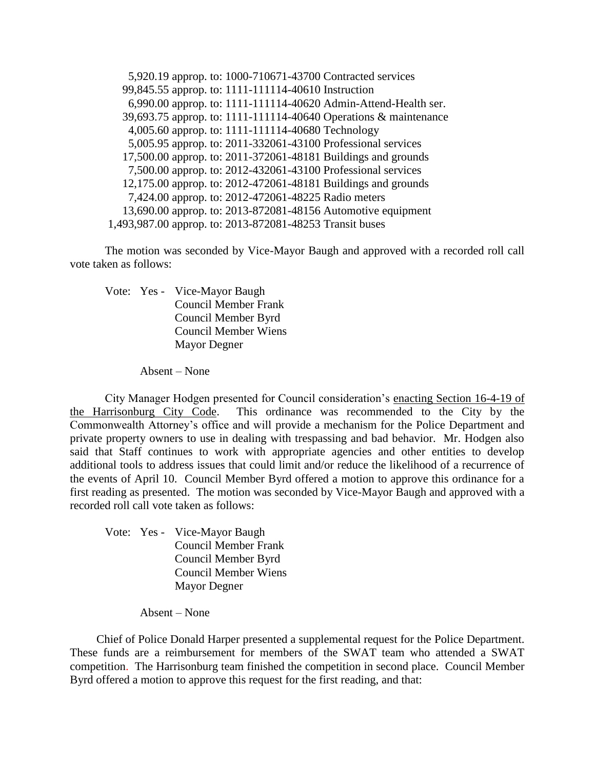5,920.19 approp. to: 1000-710671-43700 Contracted services 99,845.55 approp. to: 1111-111114-40610 Instruction 6,990.00 approp. to: 1111-111114-40620 Admin-Attend-Health ser. 39,693.75 approp. to: 1111-111114-40640 Operations & maintenance 4,005.60 approp. to: 1111-111114-40680 Technology 5,005.95 approp. to: 2011-332061-43100 Professional services 17,500.00 approp. to: 2011-372061-48181 Buildings and grounds 7,500.00 approp. to: 2012-432061-43100 Professional services 12,175.00 approp. to: 2012-472061-48181 Buildings and grounds 7,424.00 approp. to: 2012-472061-48225 Radio meters 13,690.00 approp. to: 2013-872081-48156 Automotive equipment 1,493,987.00 approp. to: 2013-872081-48253 Transit buses

The motion was seconded by Vice-Mayor Baugh and approved with a recorded roll call vote taken as follows:

Vote: Yes - Vice-Mayor Baugh Council Member Frank Council Member Byrd Council Member Wiens Mayor Degner

Absent – None

City Manager Hodgen presented for Council consideration's enacting Section 16-4-19 of the Harrisonburg City Code. This ordinance was recommended to the City by the Commonwealth Attorney's office and will provide a mechanism for the Police Department and private property owners to use in dealing with trespassing and bad behavior. Mr. Hodgen also said that Staff continues to work with appropriate agencies and other entities to develop additional tools to address issues that could limit and/or reduce the likelihood of a recurrence of the events of April 10. Council Member Byrd offered a motion to approve this ordinance for a first reading as presented. The motion was seconded by Vice-Mayor Baugh and approved with a recorded roll call vote taken as follows:

Vote: Yes - Vice-Mayor Baugh Council Member Frank Council Member Byrd Council Member Wiens Mayor Degner

Absent – None

Chief of Police Donald Harper presented a supplemental request for the Police Department. These funds are a reimbursement for members of the SWAT team who attended a SWAT competition. The Harrisonburg team finished the competition in second place. Council Member Byrd offered a motion to approve this request for the first reading, and that: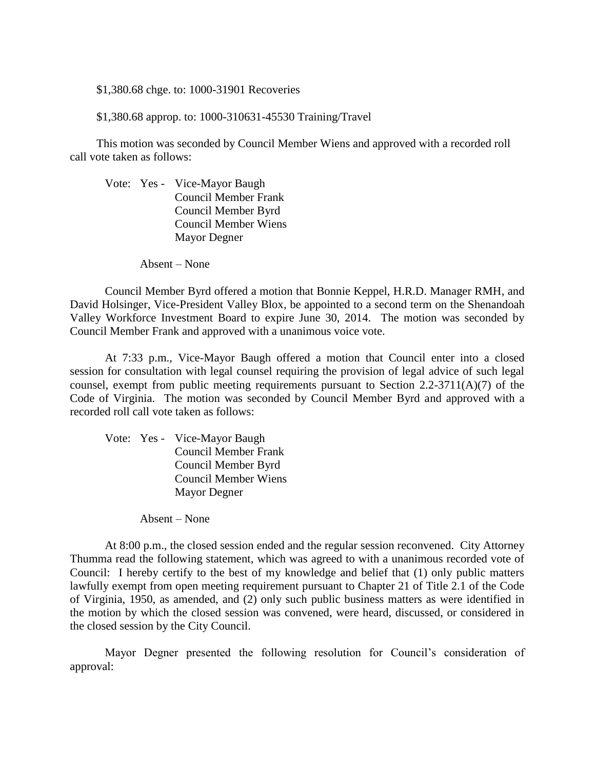\$1,380.68 chge. to: 1000-31901 Recoveries

\$1,380.68 approp. to: 1000-310631-45530 Training/Travel

This motion was seconded by Council Member Wiens and approved with a recorded roll call vote taken as follows:

Vote: Yes - Vice-Mayor Baugh Council Member Frank Council Member Byrd Council Member Wiens Mayor Degner

Absent – None

Council Member Byrd offered a motion that Bonnie Keppel, H.R.D. Manager RMH, and David Holsinger, Vice-President Valley Blox, be appointed to a second term on the Shenandoah Valley Workforce Investment Board to expire June 30, 2014. The motion was seconded by Council Member Frank and approved with a unanimous voice vote.

At 7:33 p.m., Vice-Mayor Baugh offered a motion that Council enter into a closed session for consultation with legal counsel requiring the provision of legal advice of such legal counsel, exempt from public meeting requirements pursuant to Section 2.2-3711(A)(7) of the Code of Virginia. The motion was seconded by Council Member Byrd and approved with a recorded roll call vote taken as follows:

Vote: Yes - Vice-Mayor Baugh Council Member Frank Council Member Byrd Council Member Wiens Mayor Degner

Absent – None

At 8:00 p.m., the closed session ended and the regular session reconvened. City Attorney Thumma read the following statement, which was agreed to with a unanimous recorded vote of Council: I hereby certify to the best of my knowledge and belief that (1) only public matters lawfully exempt from open meeting requirement pursuant to Chapter 21 of Title 2.1 of the Code of Virginia, 1950, as amended, and (2) only such public business matters as were identified in the motion by which the closed session was convened, were heard, discussed, or considered in the closed session by the City Council.

Mayor Degner presented the following resolution for Council's consideration of approval: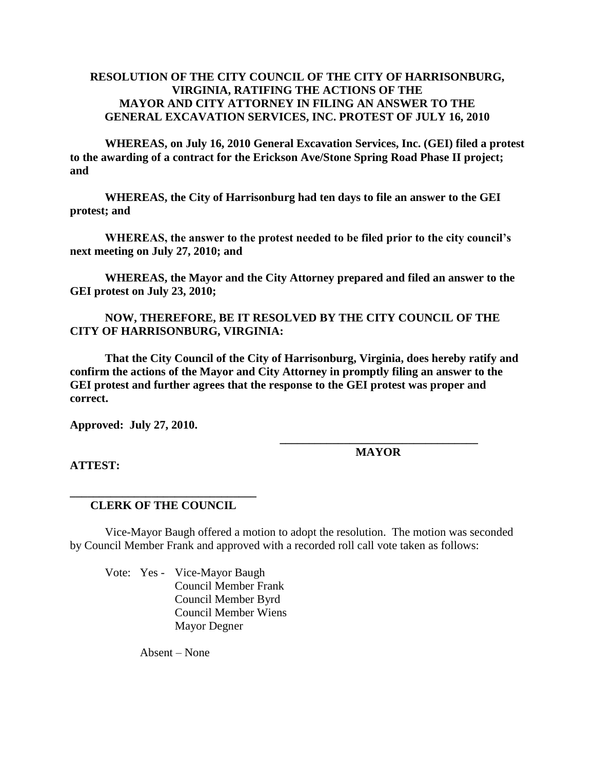# **RESOLUTION OF THE CITY COUNCIL OF THE CITY OF HARRISONBURG, VIRGINIA, RATIFING THE ACTIONS OF THE MAYOR AND CITY ATTORNEY IN FILING AN ANSWER TO THE GENERAL EXCAVATION SERVICES, INC. PROTEST OF JULY 16, 2010**

**WHEREAS, on July 16, 2010 General Excavation Services, Inc. (GEI) filed a protest to the awarding of a contract for the Erickson Ave/Stone Spring Road Phase II project; and**

**WHEREAS, the City of Harrisonburg had ten days to file an answer to the GEI protest; and**

**WHEREAS, the answer to the protest needed to be filed prior to the city council's next meeting on July 27, 2010; and**

**WHEREAS, the Mayor and the City Attorney prepared and filed an answer to the GEI protest on July 23, 2010;** 

# **NOW, THEREFORE, BE IT RESOLVED BY THE CITY COUNCIL OF THE CITY OF HARRISONBURG, VIRGINIA:**

**That the City Council of the City of Harrisonburg, Virginia, does hereby ratify and confirm the actions of the Mayor and City Attorney in promptly filing an answer to the GEI protest and further agrees that the response to the GEI protest was proper and correct.**

**Approved: July 27, 2010.**

**\_\_\_\_\_\_\_\_\_\_\_\_\_\_\_\_\_\_\_\_\_\_\_\_\_\_\_\_\_\_\_\_\_\_ MAYOR**

**ATTEST:**

### **\_\_\_\_\_\_\_\_\_\_\_\_\_\_\_\_\_\_\_\_\_\_\_\_\_\_\_\_\_\_\_\_ CLERK OF THE COUNCIL**

Vice-Mayor Baugh offered a motion to adopt the resolution. The motion was seconded by Council Member Frank and approved with a recorded roll call vote taken as follows:

Vote: Yes - Vice-Mayor Baugh Council Member Frank Council Member Byrd Council Member Wiens Mayor Degner

Absent – None